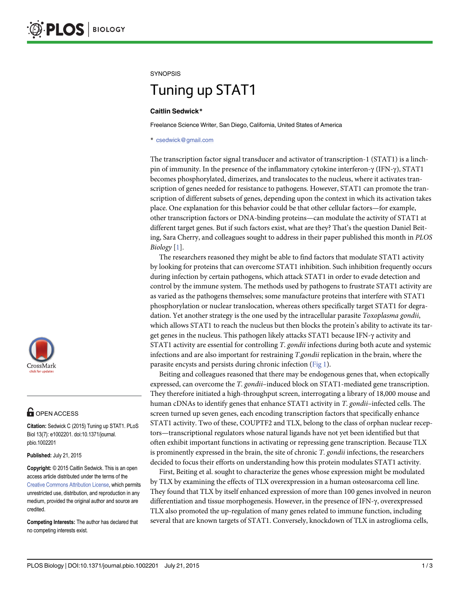#### <span id="page-0-0"></span>**SYNOPSIS**

# Tuning up Statistic

#### Caitlin Sedwick\*

Freelance Science Writer, San Diego, California, United States of America

\* csedwick@gmail.com

The transcription factor signal transducer and activator of transcription-1 (STAT1) is a linchpin of immunity. In the presence of the inflammatory cytokine interferon-γ (IFN-γ), STAT1 becomes phosphorylated, dimerizes, and translocates to the nucleus, where it activates transcription of genes needed for resistance to pathogens. However, STAT1 can promote the transcription of different subsets of genes, depending upon the context in which its activation takes place. One explanation for this behavior could be that other cellular factors—for example, other transcription factors or DNA-binding proteins—can modulate the activity of STAT1 at different target genes. But if such factors exist, what are they? That's the question Daniel Beiting, Sara Cherry, and colleagues sought to address in their paper published this month in PLOS Biology  $[1]$  $[1]$ .

The researchers reasoned they might be able to find factors that modulate STAT1 activity by looking for proteins that can overcome STAT1 inhibition. Such inhibition frequently occurs during infection by certain pathogens, which attack STAT1 in order to evade detection and control by the immune system. The methods used by pathogens to frustrate STAT1 activity are as varied as the pathogens themselves; some manufacture proteins that interfere with STAT1 phosphorylation or nuclear translocation, whereas others specifically target STAT1 for degradation. Yet another strategy is the one used by the intracellular parasite *Toxoplasma gondii*, which allows STAT1 to reach the nucleus but then blocks the protein's ability to activate its target genes in the nucleus. This pathogen likely attacks STAT1 because IFN-γ activity and STAT1 activity are essential for controlling T. gondii infections during both acute and systemic infections and are also important for restraining T.gondii replication in the brain, where the parasite encysts and persists during chronic infection ([Fig 1](#page-1-0)).

Beiting and colleagues reasoned that there may be endogenous genes that, when ectopically expressed, can overcome the T. gondii-induced block on STAT1-mediated gene transcription. They therefore initiated a high-throughput screen, interrogating a library of 18,000 mouse and human cDNAs to identify genes that enhance STAT1 activity in T. gondii-infected cells. The screen turned up seven genes, each encoding transcription factors that specifically enhance STAT1 activity. Two of these, COUPTF2 and TLX, belong to the class of orphan nuclear receptors—transcriptional regulators whose natural ligands have not yet been identified but that often exhibit important functions in activating or repressing gene transcription. Because TLX is prominently expressed in the brain, the site of chronic T. gondii infections, the researchers decided to focus their efforts on understanding how this protein modulates STAT1 activity.

First, Beiting et al. sought to characterize the genes whose expression might be modulated by TLX by examining the effects of TLX overexpression in a human osteosarcoma cell line. They found that TLX by itself enhanced expression of more than 100 genes involved in neuron differentiation and tissue morphogenesis. However, in the presence of IFN-γ, overexpressed TLX also promoted the up-regulation of many genes related to immune function, including several that are known targets of STAT1. Conversely, knockdown of TLX in astroglioma cells,



## $\mathbf{G}$  open access

Citation: Sedwick C (2015) Tuning up STAT1. PLoS Biol 13(7): e1002201. doi:10.1371/journal. pbio.1002201

Published: July 21, 2015

Copyright: © 2015 Caitlin Sedwick. This is an open access article distributed under the terms of the [Creative Commons Attribution License,](http://creativecommons.org/licenses/by/4.0/) which permits unrestricted use, distribution, and reproduction in any medium, provided the original author and source are credited.

Competing Interests: The author has declared that no competing interests exist.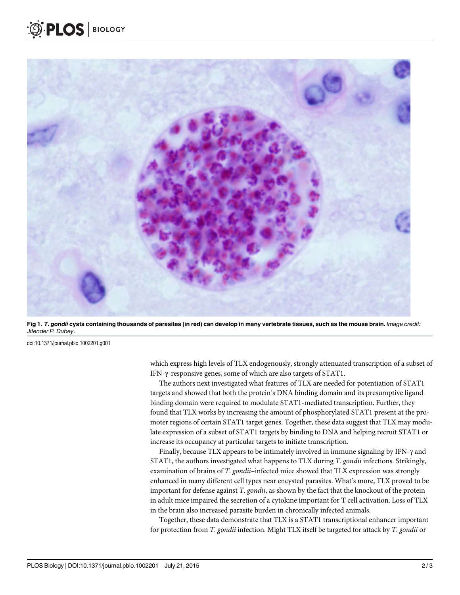<span id="page-1-0"></span>

[Fig 1.](#page-0-0) T. gondii cysts containing thousands of parasites (in red) can develop in many vertebrate tissues, such as the mouse brain. Image credit: Jitender P. Dubey.

doi:10.1371/journal.pbio.1002201.g001

which express high levels of TLX endogenously, strongly attenuated transcription of a subset of IFN-γ-responsive genes, some of which are also targets of STAT1.

The authors next investigated what features of TLX are needed for potentiation of STAT1 targets and showed that both the protein's DNA binding domain and its presumptive ligand binding domain were required to modulate STAT1-mediated transcription. Further, they found that TLX works by increasing the amount of phosphorylated STAT1 present at the promoter regions of certain STAT1 target genes. Together, these data suggest that TLX may modulate expression of a subset of STAT1 targets by binding to DNA and helping recruit STAT1 or increase its occupancy at particular targets to initiate transcription.

Finally, because TLX appears to be intimately involved in immune signaling by IFN-γ and STAT1, the authors investigated what happens to TLX during T. gondii infections. Strikingly, examination of brains of T. gondii-infected mice showed that TLX expression was strongly enhanced in many different cell types near encysted parasites. What's more, TLX proved to be important for defense against T. gondii, as shown by the fact that the knockout of the protein in adult mice impaired the secretion of a cytokine important for T cell activation. Loss of TLX in the brain also increased parasite burden in chronically infected animals.

Together, these data demonstrate that TLX is a STAT1 transcriptional enhancer important for protection from T. gondii infection. Might TLX itself be targeted for attack by T. gondii or